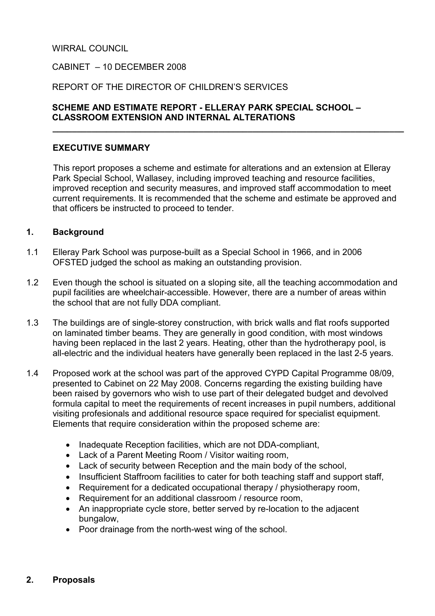#### WIRRAL COUNCIL

#### CABINET – 10 DECEMBER 2008

#### REPORT OF THE DIRECTOR OF CHILDREN'S SERVICES

#### SCHEME AND ESTIMATE REPORT - ELLERAY PARK SPECIAL SCHOOL – CLASSROOM EXTENSION AND INTERNAL ALTERATIONS

 $\overline{\phantom{a}}$  , and the contribution of the contribution of the contribution of the contribution of the contribution of the contribution of the contribution of the contribution of the contribution of the contribution of the

#### EXECUTIVE SUMMARY

 This report proposes a scheme and estimate for alterations and an extension at Elleray Park Special School, Wallasey, including improved teaching and resource facilities, improved reception and security measures, and improved staff accommodation to meet current requirements. It is recommended that the scheme and estimate be approved and that officers be instructed to proceed to tender.

#### 1. Background

- 1.1 Elleray Park School was purpose-built as a Special School in 1966, and in 2006 OFSTED judged the school as making an outstanding provision.
- 1.2 Even though the school is situated on a sloping site, all the teaching accommodation and pupil facilities are wheelchair-accessible. However, there are a number of areas within the school that are not fully DDA compliant.
- 1.3 The buildings are of single-storey construction, with brick walls and flat roofs supported on laminated timber beams. They are generally in good condition, with most windows having been replaced in the last 2 years. Heating, other than the hydrotherapy pool, is all-electric and the individual heaters have generally been replaced in the last 2-5 years.
- 1.4 Proposed work at the school was part of the approved CYPD Capital Programme 08/09, presented to Cabinet on 22 May 2008. Concerns regarding the existing building have been raised by governors who wish to use part of their delegated budget and devolved formula capital to meet the requirements of recent increases in pupil numbers, additional visiting profesionals and additional resource space required for specialist equipment. Elements that require consideration within the proposed scheme are:
	- Inadequate Reception facilities, which are not DDA-compliant,
	- Lack of a Parent Meeting Room / Visitor waiting room,
	- Lack of security between Reception and the main body of the school,
	- Insufficient Staffroom facilities to cater for both teaching staff and support staff,
	- Requirement for a dedicated occupational therapy / physiotherapy room,
	- Requirement for an additional classroom / resource room,
	- An inappropriate cycle store, better served by re-location to the adjacent bungalow,
	- Poor drainage from the north-west wing of the school.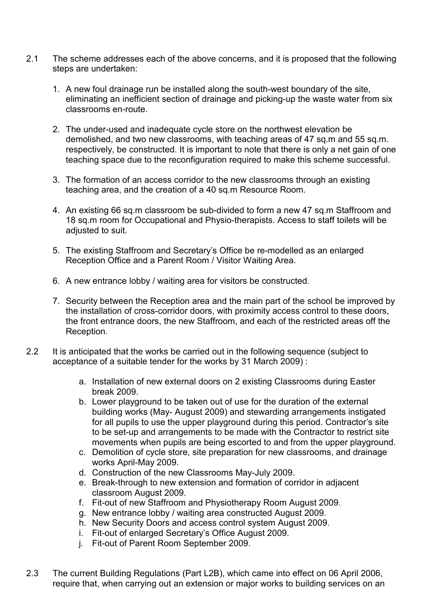- 2.1 The scheme addresses each of the above concerns, and it is proposed that the following steps are undertaken:
	- 1. A new foul drainage run be installed along the south-west boundary of the site, eliminating an inefficient section of drainage and picking-up the waste water from six classrooms en-route.
	- 2. The under-used and inadequate cycle store on the northwest elevation be demolished, and two new classrooms, with teaching areas of 47 sq.m and 55 sq.m. respectively, be constructed. It is important to note that there is only a net gain of one teaching space due to the reconfiguration required to make this scheme successful.
	- 3. The formation of an access corridor to the new classrooms through an existing teaching area, and the creation of a 40 sq.m Resource Room.
	- 4. An existing 66 sq.m classroom be sub-divided to form a new 47 sq.m Staffroom and 18 sq.m room for Occupational and Physio-therapists. Access to staff toilets will be adiusted to suit.
	- 5. The existing Staffroom and Secretary's Office be re-modelled as an enlarged Reception Office and a Parent Room / Visitor Waiting Area.
	- 6. A new entrance lobby / waiting area for visitors be constructed.
	- 7. Security between the Reception area and the main part of the school be improved by the installation of cross-corridor doors, with proximity access control to these doors, the front entrance doors, the new Staffroom, and each of the restricted areas off the Reception.
- 2.2 It is anticipated that the works be carried out in the following sequence (subject to acceptance of a suitable tender for the works by 31 March 2009) :
	- a. Installation of new external doors on 2 existing Classrooms during Easter break 2009.
	- b. Lower playground to be taken out of use for the duration of the external building works (May- August 2009) and stewarding arrangements instigated for all pupils to use the upper playground during this period. Contractor's site to be set-up and arrangements to be made with the Contractor to restrict site movements when pupils are being escorted to and from the upper playground.
	- c. Demolition of cycle store, site preparation for new classrooms, and drainage works April-May 2009.
	- d. Construction of the new Classrooms May-July 2009.
	- e. Break-through to new extension and formation of corridor in adjacent classroom August 2009.
	- f. Fit-out of new Staffroom and Physiotherapy Room August 2009.
	- g. New entrance lobby / waiting area constructed August 2009.
	- h. New Security Doors and access control system August 2009.
	- i. Fit-out of enlarged Secretary's Office August 2009.
	- j. Fit-out of Parent Room September 2009.
- 2.3 The current Building Regulations (Part L2B), which came into effect on 06 April 2006, require that, when carrying out an extension or major works to building services on an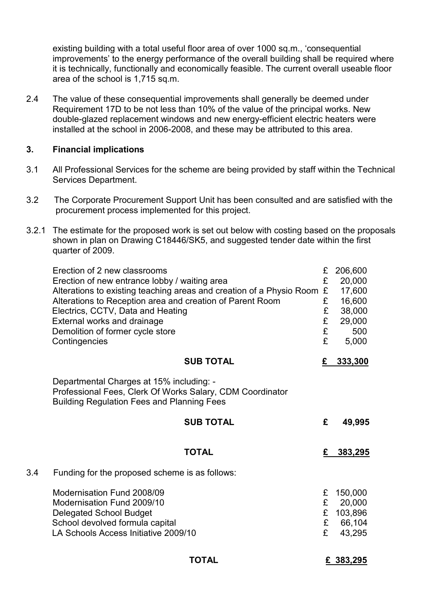existing building with a total useful floor area of over 1000 sq.m., 'consequential improvements' to the energy performance of the overall building shall be required where it is technically, functionally and economically feasible. The current overall useable floor area of the school is 1,715 sq.m.

2.4 The value of these consequential improvements shall generally be deemed under Requirement 17D to be not less than 10% of the value of the principal works. New double-glazed replacement windows and new energy-efficient electric heaters were installed at the school in 2006-2008, and these may be attributed to this area.

#### 3. Financial implications

- 3.1 All Professional Services for the scheme are being provided by staff within the Technical Services Department.
- 3.2 The Corporate Procurement Support Unit has been consulted and are satisfied with the procurement process implemented for this project.
- 3.2.1 The estimate for the proposed work is set out below with costing based on the proposals shown in plan on Drawing C18446/SK5, and suggested tender date within the first quarter of 2009.

|     | Erection of 2 new classrooms                                                                                                                               | £      | 206,600          |
|-----|------------------------------------------------------------------------------------------------------------------------------------------------------------|--------|------------------|
|     | Erection of new entrance lobby / waiting area                                                                                                              | £      | 20,000           |
|     | Alterations to existing teaching areas and creation of a Physio Room                                                                                       | £      | 17,600           |
|     | Alterations to Reception area and creation of Parent Room                                                                                                  | £      | 16,600           |
|     | Electrics, CCTV, Data and Heating<br>External works and drainage                                                                                           | £<br>£ | 38,000<br>29,000 |
|     | Demolition of former cycle store                                                                                                                           | £      | 500              |
|     | Contingencies                                                                                                                                              | £      | 5,000            |
|     | <b>SUB TOTAL</b>                                                                                                                                           | £      | 333,300          |
|     | Departmental Charges at 15% including: -<br>Professional Fees, Clerk Of Works Salary, CDM Coordinator<br><b>Building Regulation Fees and Planning Fees</b> |        |                  |
|     | <b>SUB TOTAL</b>                                                                                                                                           | £      | 49,995           |
|     | <b>TOTAL</b>                                                                                                                                               | £      | 383,295          |
| 3.4 | Funding for the proposed scheme is as follows:                                                                                                             |        |                  |
|     | Modernisation Fund 2008/09                                                                                                                                 | £      | 150,000          |
|     | Modernisation Fund 2009/10                                                                                                                                 | £      | 20,000           |
|     | <b>Delegated School Budget</b>                                                                                                                             | £      | 103,896          |
|     | School devolved formula capital                                                                                                                            | £      | 66,104           |
|     | LA Schools Access Initiative 2009/10                                                                                                                       | £      | 43,295           |
|     | TOTAL                                                                                                                                                      |        | £ 383,295        |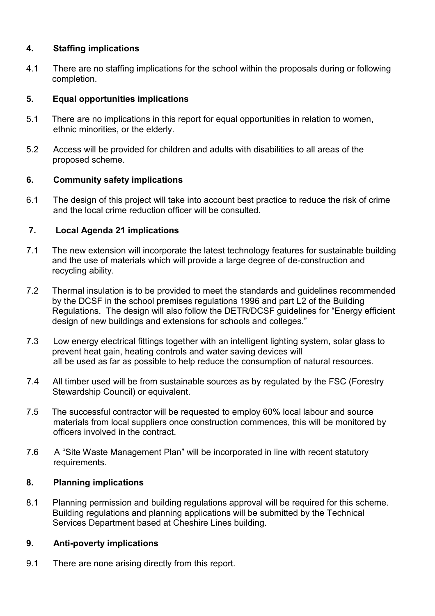# 4. Staffing implications

4.1 There are no staffing implications for the school within the proposals during or following completion.

## 5. Equal opportunities implications

- 5.1 There are no implications in this report for equal opportunities in relation to women, ethnic minorities, or the elderly.
- 5.2 Access will be provided for children and adults with disabilities to all areas of the proposed scheme.

# 6. Community safety implications

6.1 The design of this project will take into account best practice to reduce the risk of crime and the local crime reduction officer will be consulted.

# 7. Local Agenda 21 implications

- 7.1 The new extension will incorporate the latest technology features for sustainable building and the use of materials which will provide a large degree of de-construction and recycling ability.
- 7.2 Thermal insulation is to be provided to meet the standards and guidelines recommended by the DCSF in the school premises regulations 1996 and part L2 of the Building Regulations. The design will also follow the DETR/DCSF guidelines for "Energy efficient design of new buildings and extensions for schools and colleges."
- 7.3 Low energy electrical fittings together with an intelligent lighting system, solar glass to prevent heat gain, heating controls and water saving devices will all be used as far as possible to help reduce the consumption of natural resources.
- 7.4 All timber used will be from sustainable sources as by regulated by the FSC (Forestry Stewardship Council) or equivalent.
- 7.5 The successful contractor will be requested to employ 60% local labour and source materials from local suppliers once construction commences, this will be monitored by officers involved in the contract.
- 7.6 A "Site Waste Management Plan" will be incorporated in line with recent statutory requirements.

### 8. Planning implications

8.1 Planning permission and building regulations approval will be required for this scheme. Building regulations and planning applications will be submitted by the Technical Services Department based at Cheshire Lines building.

### 9. Anti-poverty implications

9.1 There are none arising directly from this report.